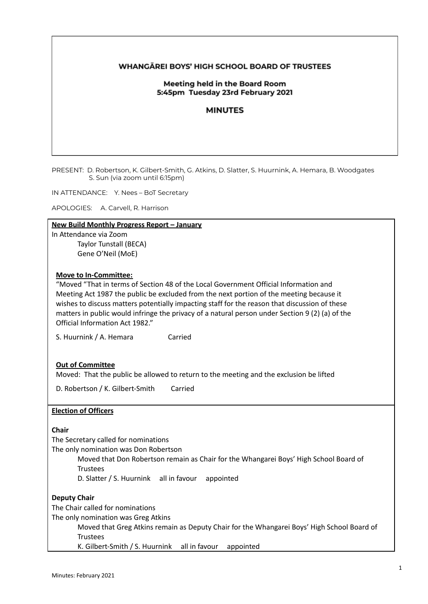### **WHANGAREI BOYS' HIGH SCHOOL BOARD OF TRUSTEES**

#### Meeting held in the Board Room 5:45pm Tuesday 23rd February 2021

#### **MINUTES**

PRESENT: D. Robertson, K. Gilbert-Smith, G. Atkins, D. Slatter, S. Huurnink, A. Hemara, B. Woodgates S. Sun (via zoom until 6:15pm)

IN ATTENDANCE: Y. Nees – BoT Secretary

APOLOGIES: A. Carvell, R. Harrison

# **New Build Monthly Progress Report – January**

In Attendance via Zoom Taylor Tunstall (BECA) Gene O'Neil (MoE)

#### **Move to In-Committee:**

"Moved "That in terms of Section 48 of the Local Government Official Information and Meeting Act 1987 the public be excluded from the next portion of the meeting because it wishes to discuss matters potentially impacting staff for the reason that discussion of these matters in public would infringe the privacy of a natural person under Section 9 (2) (a) of the Official Information Act 1982."

S. Huurnink / A. Hemara Carried

### **Out of Committee**

Moved: That the public be allowed to return to the meeting and the exclusion be lifted

D. Robertson / K. Gilbert-Smith Carried

#### **Election of Officers**

**Chair**

The Secretary called for nominations

The only nomination was Don Robertson

Moved that Don Robertson remain as Chair for the Whangarei Boys' High School Board of **Trustees** 

D. Slatter / S. Huurnink all in favour appointed

#### **Deputy Chair**

The Chair called for nominations

The only nomination was Greg Atkins

Moved that Greg Atkins remain as Deputy Chair for the Whangarei Boys' High School Board of **Trustees** 

K. Gilbert-Smith / S. Huurnink all in favour appointed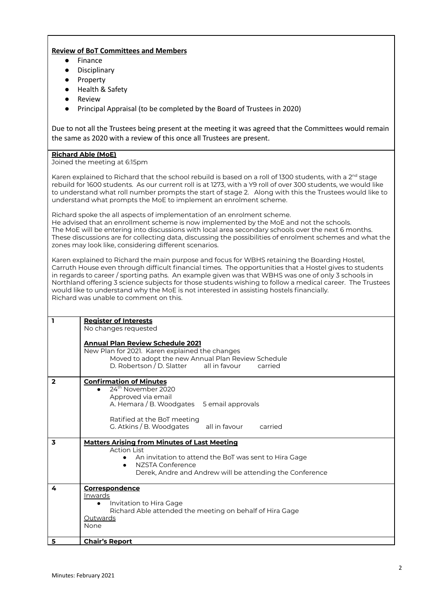# **Review of BoT Committees and Members**

- Finance
- Disciplinary
- Property
- Health & Safety
- **Review**
- Principal Appraisal (to be completed by the Board of Trustees in 2020)

Due to not all the Trustees being present at the meeting it was agreed that the Committees would remain the same as 2020 with a review of this once all Trustees are present.

#### **Richard Able (MoE)**

Joined the meeting at 6:15pm

Karen explained to Richard that the school rebuild is based on a roll of 1300 students, with a 2 $^{\rm nd}$  stage rebuild for 1600 students. As our current roll is at 1273, with a Y9 roll of over 300 students, we would like to understand what roll number prompts the start of stage 2. Along with this the Trustees would like to understand what prompts the MoE to implement an enrolment scheme.

Richard spoke the all aspects of implementation of an enrolment scheme. He advised that an enrollment scheme is now implemented by the MoE and not the schools. The MoE will be entering into discussions with local area secondary schools over the next 6 months. These discussions are for collecting data, discussing the possibilities of enrolment schemes and what the zones may look like, considering different scenarios.

Karen explained to Richard the main purpose and focus for WBHS retaining the Boarding Hostel, Carruth House even through difficult financial times. The opportunities that a Hostel gives to students in regards to career / sporting paths. An example given was that WBHS was one of only 3 schools in Northland offering 3 science subjects for those students wishing to follow a medical career. The Trustees would like to understand why the MoE is not interested in assisting hostels financially. Richard was unable to comment on this.

| $\mathbf{I}$            | <b>Register of Interests</b><br>No changes requested<br><b>Annual Plan Review Schedule 2021</b>                                                                                                                                 |
|-------------------------|---------------------------------------------------------------------------------------------------------------------------------------------------------------------------------------------------------------------------------|
|                         | New Plan for 2021. Karen explained the changes<br>Moved to adopt the new Annual Plan Review Schedule<br>D. Robertson / D. Slatter all in favour<br>carried                                                                      |
| $\overline{2}$          | <b>Confirmation of Minutes</b><br>24 <sup>th</sup> November 2020<br>Approved via email<br>A. Hemara / B. Woodgates 5 email approvals<br>Ratified at the BoT meeting<br>G. Atkins / B. Woodgates<br>all in favour<br>carried     |
| $\overline{\mathbf{3}}$ | <b>Matters Arising from Minutes of Last Meeting</b><br><b>Action List</b><br>An invitation to attend the BoT was sent to Hira Gage<br>NZSTA Conference<br>$\bullet$<br>Derek, Andre and Andrew will be attending the Conference |
| 4                       | Correspondence<br>Inwards<br>Invitation to Hira Gage<br>Richard Able attended the meeting on behalf of Hira Gage<br>Outwards<br>None                                                                                            |
| 5                       | <b>Chair's Report</b>                                                                                                                                                                                                           |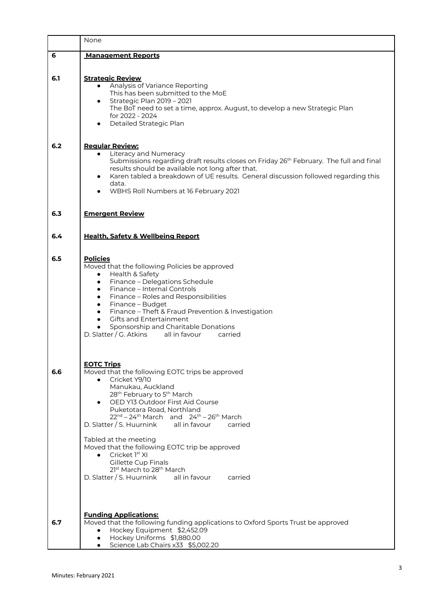|     | None                                                                                                                                                                                                                                                                                                                                                                                                                                                                                                                                                                                                      |
|-----|-----------------------------------------------------------------------------------------------------------------------------------------------------------------------------------------------------------------------------------------------------------------------------------------------------------------------------------------------------------------------------------------------------------------------------------------------------------------------------------------------------------------------------------------------------------------------------------------------------------|
| 6   | <b>Management Reports</b>                                                                                                                                                                                                                                                                                                                                                                                                                                                                                                                                                                                 |
| 6.1 | <b>Strategic Review</b><br>Analysis of Variance Reporting<br>This has been submitted to the MoE<br>Strategic Plan 2019 - 2021<br>$\bullet$<br>The BoT need to set a time, approx. August, to develop a new Strategic Plan<br>for 2022 - 2024<br>Detailed Strategic Plan                                                                                                                                                                                                                                                                                                                                   |
| 6.2 | <b>Regular Review:</b><br>• Literacy and Numeracy<br>Submissions regarding draft results closes on Friday 26 <sup>th</sup> February. The full and final<br>results should be available not long after that.<br>Karen tabled a breakdown of UE results. General discussion followed regarding this<br>data.<br>WBHS Roll Numbers at 16 February 2021                                                                                                                                                                                                                                                       |
| 6.3 | <b>Emergent Review</b>                                                                                                                                                                                                                                                                                                                                                                                                                                                                                                                                                                                    |
| 6.4 | <b>Health. Safety &amp; Wellbeing Report</b>                                                                                                                                                                                                                                                                                                                                                                                                                                                                                                                                                              |
| 6.5 | <b>Policies</b><br>Moved that the following Policies be approved<br>Health & Safety<br>$\bullet$<br>Finance - Delegations Schedule<br>$\bullet$<br>Finance - Internal Controls<br>$\bullet$<br>Finance - Roles and Responsibilities<br>$\bullet$<br>Finance - Budget<br>$\bullet$<br>Finance - Theft & Fraud Prevention & Investigation<br>$\bullet$<br><b>Gifts and Entertainment</b><br>$\bullet$<br>Sponsorship and Charitable Donations<br>D. Slatter / G. Atkins all in favour carried                                                                                                               |
| 6.6 | <b>EOTC Trips</b><br>Moved that the following EOTC trips be approved<br>Cricket Y9/10<br>$\bullet$<br>Manukau, Auckland<br>28 <sup>th</sup> February to 5 <sup>th</sup> March<br>OED Y13 Outdoor First Aid Course<br>Puketotara Road, Northland<br>$22^{nd} - 24^{th}$ March and $24^{th} - 26^{th}$ March<br>D. Slatter / S. Huurnink all in favour<br>carried<br>Tabled at the meeting<br>Moved that the following EOTC trip be approved<br>Cricket 1 <sup>st</sup> XI<br>$\bullet$<br>Gillette Cup Finals<br>21st March to 28 <sup>th</sup> March<br>D. Slatter / S. Huurnink all in favour<br>carried |
| 6.7 | <b>Funding Applications:</b><br>Moved that the following funding applications to Oxford Sports Trust be approved<br>Hockey Equipment \$2,452.09<br>$\bullet$<br>Hockey Uniforms \$1,880.00<br>Science Lab Chairs x33 \$5,002.20                                                                                                                                                                                                                                                                                                                                                                           |